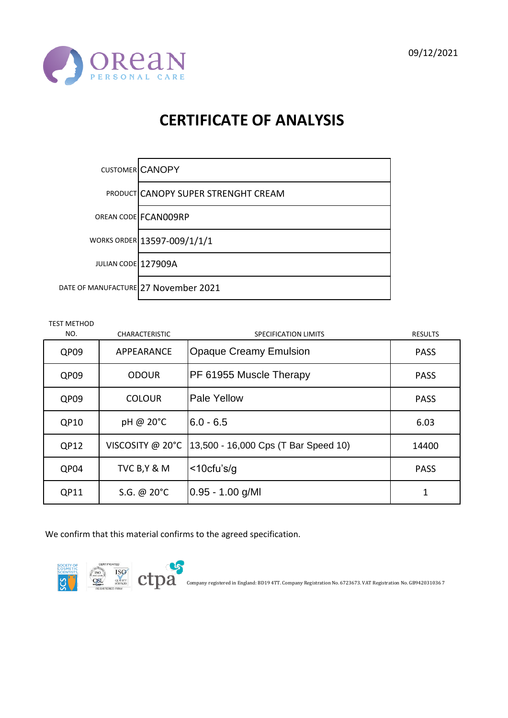



|                     | CUSTOMER CANOPY                            |
|---------------------|--------------------------------------------|
|                     | <b>PRODUCT CANOPY SUPER STRENGHT CREAM</b> |
|                     | OREAN CODE FCANOO9RP                       |
|                     | WORKS ORDER 13597-009/1/1/1                |
| JULIAN CODE 127909A |                                            |
|                     | DATE OF MANUFACTURE 27 November 2021       |

TEST METHOD

| NO.  | <b>CHARACTERISTIC</b> | SPECIFICATION LIMITS                 | <b>RESULTS</b> |
|------|-----------------------|--------------------------------------|----------------|
| QP09 | APPEARANCE            | <b>Opaque Creamy Emulsion</b>        | <b>PASS</b>    |
| QP09 | <b>ODOUR</b>          | PF 61955 Muscle Therapy              | <b>PASS</b>    |
| QP09 | <b>COLOUR</b>         | Pale Yellow                          | <b>PASS</b>    |
| QP10 | pH @ 20°C             | $6.0 - 6.5$                          | 6.03           |
| QP12 | VISCOSITY @ 20°C      | 13,500 - 16,000 Cps (T Bar Speed 10) | 14400          |
| QP04 | TVC B, Y & M          | $<$ 10cfu's/g                        | <b>PASS</b>    |
| QP11 | S.G. @ 20°C           | $0.95 - 1.00$ g/MI                   | 1              |

We confirm that this material confirms to the agreed specification.

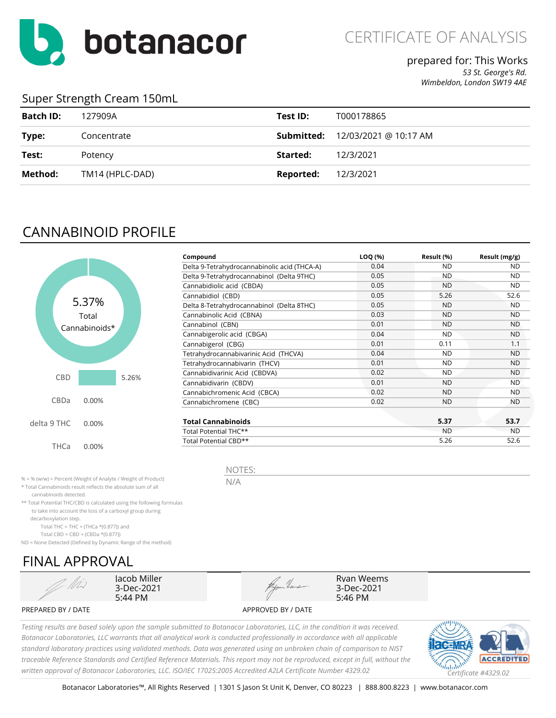

### prepared for: This Works

*53 St. George's Rd. Wimbeldon, London SW19 4AE*

#### Super Strength Cream 150mL

| <b>Batch ID:</b> | 127909A         | Test ID:  | T000178865                              |
|------------------|-----------------|-----------|-----------------------------------------|
| Type:            | Concentrate     |           | <b>Submitted:</b> 12/03/2021 @ 10:17 AM |
| Test:            | Potency         | Started:  | 12/3/2021                               |
| Method:          | TM14 (HPLC-DAD) | Reported: | 12/3/2021                               |

## CANNABINOID PROFILE



| Compound                                     | LOQ (%) | Result (%) | Result (mg/g) |
|----------------------------------------------|---------|------------|---------------|
| Delta 9-Tetrahydrocannabinolic acid (THCA-A) | 0.04    | <b>ND</b>  | ND.           |
| Delta 9-Tetrahydrocannabinol (Delta 9THC)    | 0.05    | <b>ND</b>  | <b>ND</b>     |
| Cannabidiolic acid (CBDA)                    | 0.05    | <b>ND</b>  | <b>ND</b>     |
| Cannabidiol (CBD)                            | 0.05    | 5.26       | 52.6          |
| Delta 8-Tetrahydrocannabinol (Delta 8THC)    | 0.05    | <b>ND</b>  | <b>ND</b>     |
| Cannabinolic Acid (CBNA)                     | 0.03    | <b>ND</b>  | <b>ND</b>     |
| Cannabinol (CBN)                             | 0.01    | <b>ND</b>  | <b>ND</b>     |
| Cannabigerolic acid (CBGA)                   | 0.04    | <b>ND</b>  | <b>ND</b>     |
| Cannabigerol (CBG)                           | 0.01    | 0.11       | 1.1           |
| Tetrahydrocannabivarinic Acid (THCVA)        | 0.04    | <b>ND</b>  | <b>ND</b>     |
| Tetrahydrocannabivarin (THCV)                | 0.01    | <b>ND</b>  | <b>ND</b>     |
| Cannabidivarinic Acid (CBDVA)                | 0.02    | <b>ND</b>  | ND.           |
| Cannabidivarin (CBDV)                        | 0.01    | <b>ND</b>  | <b>ND</b>     |
| Cannabichromenic Acid (CBCA)                 | 0.02    | <b>ND</b>  | ND.           |
| Cannabichromene (CBC)                        | 0.02    | <b>ND</b>  | <b>ND</b>     |
| <b>Total Cannabinoids</b>                    |         | 5.37       | 53.7          |
| Total Potential THC**                        |         | <b>ND</b>  | ND.           |
| Total Potential CBD**                        |         | 5.26       | 52.6          |

Ryan Weems 3-Dec-2021 5:46 PM

% = % (w/w) = Percent (Weight of Analyte / Weight of Product)

\* Total Cannabinoids result reflects the absolute sum of all

cannabinoids detected.

\*\* Total Potential THC/CBD is calculated using the following formulas to take into account the loss of a carboxyl group during

decarboxylation step.

Total THC = THC + (THCa  $*(0.877)$ ) and

Total CBD = CBD + (CBDa \*(0.877))

ND = None Detected (Defined by Dynamic Range of the method)

## FINAL APPROVAL



Jacob Miller 3-Dec-2021 5:44 PM



PREPARED BY / DATE APPROVED BY / DATE



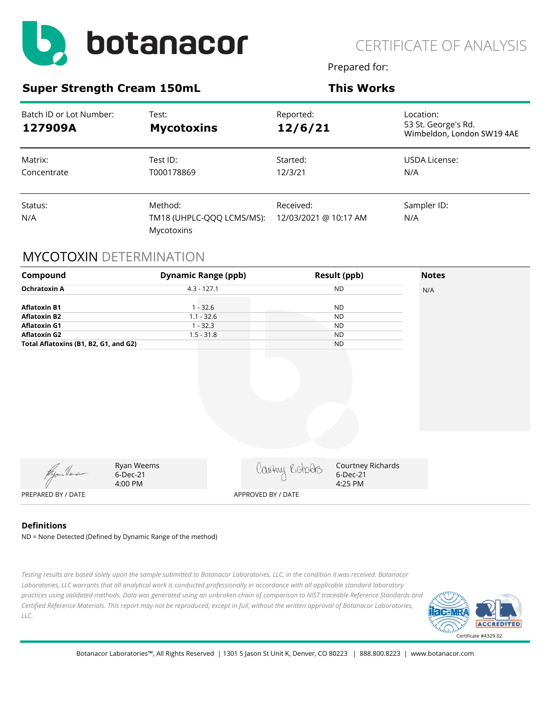

Prepared for:

#### **Super Strength Cream 150mL This Works**

| Batch ID or Lot Number:<br>127909A | Test:<br><b>Mycotoxins</b>                         | Reported:<br>12/6/21               | Location:<br>53 St. George's Rd.<br>Wimbeldon, London SW19 4AE |
|------------------------------------|----------------------------------------------------|------------------------------------|----------------------------------------------------------------|
| Matrix:<br>Concentrate             | Test ID:<br>T000178869                             | Started:<br>12/3/21                | USDA License:<br>N/A                                           |
| Status:<br>N/A                     | Method:<br>TM18 (UHPLC-QQQ LCMS/MS):<br>Mycotoxins | Received:<br>12/03/2021 @ 10:17 AM | Sampler ID:<br>N/A                                             |

#### MYCOTOXIN DETERMINATION



#### **Definitions**

ND = None Detected (Defined by Dynamic Range of the method)

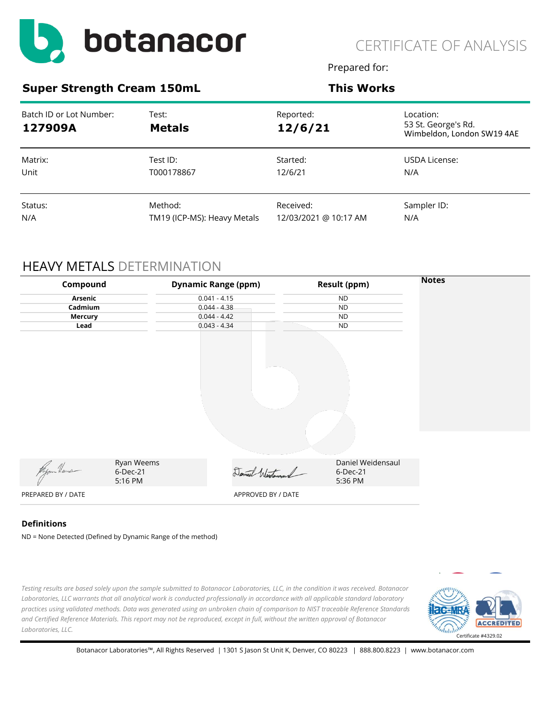

Prepared for:

#### **Super Strength Cream 150mL This Works**

| Batch ID or Lot Number:<br>127909A | Test:<br><b>Metals</b>      | Reported:<br>12/6/21  | Location:<br>53 St. George's Rd.<br>Wimbeldon, London SW19 4AE |
|------------------------------------|-----------------------------|-----------------------|----------------------------------------------------------------|
| Matrix:                            | Test ID:                    | Started:              | USDA License:                                                  |
| Unit                               | T000178867                  | 12/6/21               | N/A                                                            |
| Status:                            | Method:                     | Received:             | Sampler ID:                                                    |
| N/A                                | TM19 (ICP-MS): Heavy Metals | 12/03/2021 @ 10:17 AM | N/A                                                            |

### HEAVY METALS DETERMINATION

| Compound           |                     | <b>Dynamic Range (ppm)</b> | <b>Result (ppm)</b> | <b>Notes</b> |
|--------------------|---------------------|----------------------------|---------------------|--------------|
| Arsenic            |                     | $0.041 - 4.15$             | <b>ND</b>           |              |
| Cadmium            |                     | $0.044 - 4.38$             | <b>ND</b>           |              |
| <b>Mercury</b>     |                     | $0.044 - 4.42$             | <b>ND</b>           |              |
| Lead               |                     | $0.043 - 4.34$             | <b>ND</b>           |              |
|                    |                     |                            |                     |              |
|                    | Ryan Weems          |                            | Daniel Weidensaul   |              |
| Wyom Heuse         | 6-Dec-21<br>5:16 PM | Daniel Westersand          | 6-Dec-21<br>5:36 PM |              |
| PREPARED BY / DATE |                     | APPROVED BY / DATE         |                     |              |

#### **Definitions**

ND = None Detected (Defined by Dynamic Range of the method)

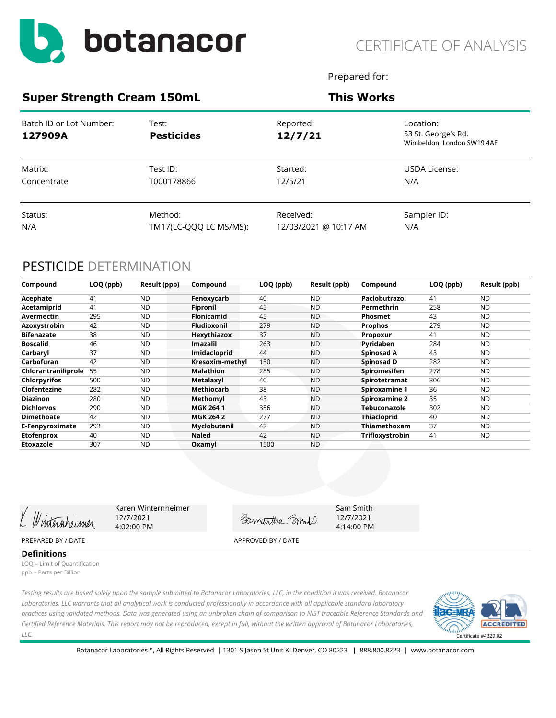

Prepared for:

#### **Super Strength Cream 150mL This Works**

| Batch ID or Lot Number:<br>127909A | Test:<br><b>Pesticides</b> | Reported:<br>12/7/21  | Location:<br>53 St. George's Rd.<br>Wimbeldon, London SW19 4AE |
|------------------------------------|----------------------------|-----------------------|----------------------------------------------------------------|
| Matrix:                            | Test ID:                   | Started:              | USDA License:                                                  |
| Concentrate                        | T000178866                 | 12/5/21               | N/A                                                            |
| Status:                            | Method:                    | Received:             | Sampler ID:                                                    |
| N/A                                | TM17(LC-QQQ LC MS/MS):     | 12/03/2021 @ 10:17 AM | N/A                                                            |

### PESTICIDE DETERMINATION

| Compound            | LOQ (ppb) | Result (ppb) | Compound           | LOQ (ppb) | Result (ppb) | Compound             | LOQ (ppb) | Result (ppb) |
|---------------------|-----------|--------------|--------------------|-----------|--------------|----------------------|-----------|--------------|
| Acephate            | 41        | <b>ND</b>    | Fenoxycarb         | 40        | <b>ND</b>    | Paclobutrazol        | 41        | <b>ND</b>    |
| Acetamiprid         | 41        | <b>ND</b>    | Fipronil           | 45        | <b>ND</b>    | Permethrin           | 258       | <b>ND</b>    |
| Avermectin          | 295       | <b>ND</b>    | <b>Flonicamid</b>  | 45        | <b>ND</b>    | Phosmet              | 43        | <b>ND</b>    |
| Azoxystrobin        | 42        | <b>ND</b>    | <b>Fludioxonil</b> | 279       | <b>ND</b>    | <b>Prophos</b>       | 279       | <b>ND</b>    |
| <b>Bifenazate</b>   | 38        | <b>ND</b>    | Hexythiazox        | 37        | <b>ND</b>    | Propoxur             | 41        | <b>ND</b>    |
| <b>Boscalid</b>     | 46        | <b>ND</b>    | Imazalil           | 263       | <b>ND</b>    | Pyridaben            | 284       | <b>ND</b>    |
| Carbaryl            | 37        | <b>ND</b>    | Imidacloprid       | 44        | <b>ND</b>    | Spinosad A           | 43        | <b>ND</b>    |
| Carbofuran          | 42        | <b>ND</b>    | Kresoxim-methyl    | 150       | <b>ND</b>    | Spinosad D           | 282       | <b>ND</b>    |
| Chlorantraniliprole | 55        | <b>ND</b>    | <b>Malathion</b>   | 285       | <b>ND</b>    | Spiromesifen         | 278       | <b>ND</b>    |
| <b>Chlorpyrifos</b> | 500       | <b>ND</b>    | <b>Metalaxyl</b>   | 40        | <b>ND</b>    | Spirotetramat        | 306       | <b>ND</b>    |
| Clofentezine        | 282       | <b>ND</b>    | Methiocarb         | 38        | <b>ND</b>    | <b>Spiroxamine 1</b> | 36        | <b>ND</b>    |
| <b>Diazinon</b>     | 280       | <b>ND</b>    | Methomyl           | 43        | <b>ND</b>    | Spiroxamine 2        | 35        | <b>ND</b>    |
| <b>Dichlorvos</b>   | 290       | <b>ND</b>    | <b>MGK 2641</b>    | 356       | <b>ND</b>    | Tebuconazole         | 302       | <b>ND</b>    |
| <b>Dimethoate</b>   | 42        | <b>ND</b>    | <b>MGK 264 2</b>   | 277       | <b>ND</b>    | <b>Thiacloprid</b>   | 40        | <b>ND</b>    |
| E-Fenpyroximate     | 293       | <b>ND</b>    | Myclobutanil       | 42        | <b>ND</b>    | Thiamethoxam         | 37        | ND.          |
| <b>Etofenprox</b>   | 40        | <b>ND</b>    | <b>Naled</b>       | 42        | <b>ND</b>    | Trifloxystrobin      | 41        | <b>ND</b>    |
| Etoxazole           | 307       | <b>ND</b>    | Oxamyl             | 1500      | <b>ND</b>    |                      |           |              |

Winternheimer

Karen Winternheimer 12/7/2021 4:02:00 PM

Gamantha Smort

Sam Smith 12/7/2021 4:14:00 PM

PREPARED BY / DATE APPROVED BY / DATE

**Definitions** LOQ = Limit of Quantification ppb = Parts per Billion